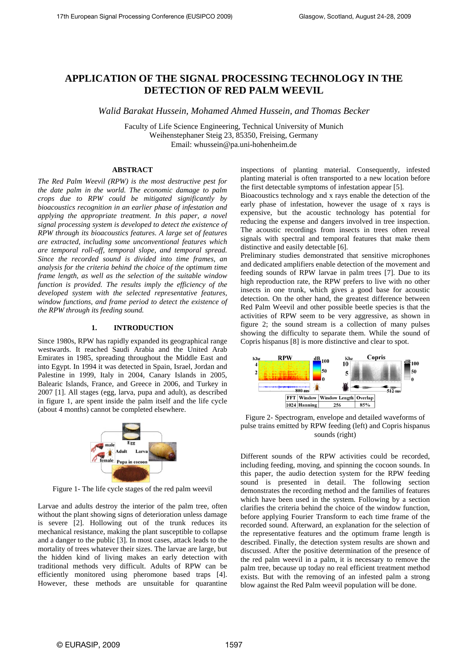# **APPLICATION OF THE SIGNAL PROCESSING TECHNOLOGY IN THE DETECTION OF RED PALM WEEVIL**

*Walid Barakat Hussein, Mohamed Ahmed Hussein, and Thomas Becker* 

Faculty of Life Science Engineering, Technical University of Munich Weihenstephaner Steig 23, 85350, Freising, Germany Email: whussein@pa.uni-hohenheim.de

### **ABSTRACT**

*The Red Palm Weevil (RPW) is the most destructive pest for the date palm in the world. The economic damage to palm crops due to RPW could be mitigated significantly by bioacoustics recognition in an earlier phase of infestation and applying the appropriate treatment. In this paper, a novel signal processing system is developed to detect the existence of RPW through its bioacoustics features. A large set of features are extracted, including some unconventional features which are temporal roll-off, temporal slope, and temporal spread. Since the recorded sound is divided into time frames, an analysis for the criteria behind the choice of the optimum time frame length, as well as the selection of the suitable window function is provided. The results imply the efficiency of the developed system with the selected representative features, window functions, and frame period to detect the existence of the RPW through its feeding sound.*

## **1. INTRODUCTION**

Since 1980s, RPW has rapidly expanded its geographical range westwards. It reached Saudi Arabia and the United Arab Emirates in 1985, spreading throughout the Middle East and into Egypt. In 1994 it was detected in Spain, Israel, Jordan and Palestine in 1999, Italy in 2004, Canary Islands in 2005, Balearic Islands, France, and Greece in 2006, and Turkey in 2007 [1]. All stages (egg, larva, pupa and adult), as described in figure 1, are spent inside the palm itself and the life cycle (about 4 months) cannot be completed elsewhere.



Figure 1- The life cycle stages of the red palm weevil

Larvae and adults destroy the interior of the palm tree, often without the plant showing signs of deterioration unless damage is severe [2]. Hollowing out of the trunk reduces its mechanical resistance, making the plant susceptible to collapse and a danger to the public [3]. In most cases, attack leads to the mortality of trees whatever their sizes. The larvae are large, but the hidden kind of living makes an early detection with traditional methods very difficult. Adults of RPW can be efficiently monitored using pheromone based traps [4]. However, these methods are unsuitable for quarantine inspections of planting material. Consequently, infested planting material is often transported to a new location before the first detectable symptoms of infestation appear [5].

Bioacoustics technology and x rays enable the detection of the early phase of infestation, however the usage of x rays is expensive, but the acoustic technology has potential for reducing the expense and dangers involved in tree inspection. The acoustic recordings from insects in trees often reveal signals with spectral and temporal features that make them distinctive and easily detectable [6].

Preliminary studies demonstrated that sensitive microphones and dedicated amplifiers enable detection of the movement and feeding sounds of RPW larvae in palm trees [7]. Due to its high reproduction rate, the RPW prefers to live with no other insects in one trunk, which gives a good base for acoustic detection. On the other hand, the greatest difference between Red Palm Weevil and other possible beetle species is that the activities of RPW seem to be very aggressive, as shown in figure 2; the sound stream is a collection of many pulses showing the difficulty to separate them. While the sound of Copris hispanus [8] is more distinctive and clear to spot.



Figure 2- Spectrogram, envelope and detailed waveforms of pulse trains emitted by RPW feeding (left) and Copris hispanus sounds (right)

Different sounds of the RPW activities could be recorded, including feeding, moving, and spinning the cocoon sounds. In this paper, the audio detection system for the RPW feeding sound is presented in detail. The following section demonstrates the recording method and the families of features which have been used in the system. Following by a section clarifies the criteria behind the choice of the window function, before applying Fourier Transform to each time frame of the recorded sound. Afterward, an explanation for the selection of the representative features and the optimum frame length is described. Finally, the detection system results are shown and discussed. After the positive determination of the presence of the red palm weevil in a palm, it is necessary to remove the palm tree, because up today no real efficient treatment method exists. But with the removing of an infested palm a strong blow against the Red Palm weevil population will be done.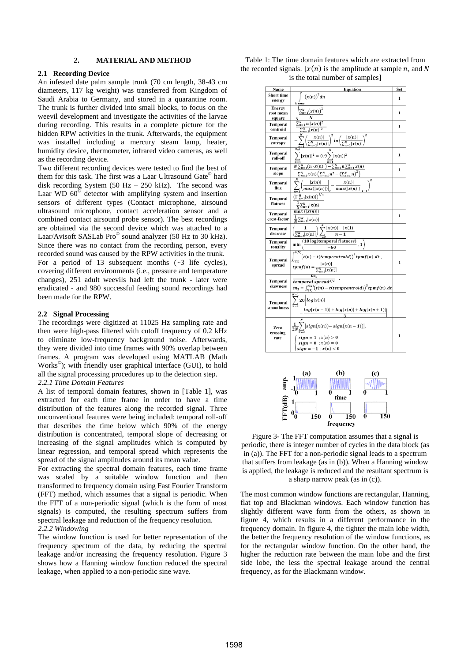## **2. MATERIAL AND METHOD**

## **2.1 Recording Device**

An infested date palm sample trunk (70 cm length, 38-43 cm diameters, 117 kg weight) was transferred from Kingdom of Saudi Arabia to Germany, and stored in a quarantine room. The trunk is further divided into small blocks, to focus on the weevil development and investigate the activities of the larvae during recording. This results in a complete picture for the hidden RPW activities in the trunk. Afterwards, the equipment was installed including a mercury steam lamp, heater, humidity device, thermometer, infrared video cameras, as well as the recording device.

Two different recording devices were tested to find the best of them for this task. The first was a Laar Ultrasound Gate© hard disk recording System (50 Hz  $-$  250 kHz). The second was Laar WD  $60^\circ$  detector with amplifying system and insertion sensors of different types (Contact microphone, airsound ultrasound microphone, contact acceleration sensor and a combined contact airsound probe sensor). The best recordings are obtained via the second device which was attached to a Laar/Avisoft SASLab Pro© sound analyzer (50 Hz to 30 kHz). Since there was no contact from the recording person, every recorded sound was caused by the RPW activities in the trunk. For a period of 13 subsequent months  $(\sim 3)$  life cycles), covering different environments (i.e., pressure and temperature changes), 251 adult weevils had left the trunk - later were eradicated - and 980 successful feeding sound recordings had been made for the RPW.

### **2.2 Signal Processing**

The recordings were digitized at 11025 Hz sampling rate and then were high-pass filtered with cutoff frequency of 0.2 kHz to eliminate low-frequency background noise. Afterwards, they were divided into time frames with 90% overlap between frames. A program was developed using MATLAB (Math Works©); with friendly user graphical interface (GUI), to hold all the signal processing procedures up to the detection step. *2.2.1 Time Domain Features* 

A list of temporal domain features, shown in [Table 1], was extracted for each time frame in order to have a time distribution of the features along the recorded signal. Three unconventional features were being included: temporal roll-off that describes the time below which 90% of the energy distribution is concentrated, temporal slope of decreasing or increasing of the signal amplitudes which is computed by linear regression, and temporal spread which represents the spread of the signal amplitudes around its mean value.

For extracting the spectral domain features, each time frame was scaled by a suitable window function and then transformed to frequency domain using Fast Fourier Transform (FFT) method, which assumes that a signal is periodic. When the FFT of a non-periodic signal (which is the form of most signals) is computed, the resulting spectrum suffers from spectral leakage and reduction of the frequency resolution.

*2.2.2 Windowing* 

The window function is used for better representation of the frequency spectrum of the data, by reducing the spectral leakage and/or increasing the frequency resolution. Figure 3 shows how a Hanning window function reduced the spectral leakage, when applied to a non-periodic sine wave.

| Table 1: The time domain features which are extracted from         |
|--------------------------------------------------------------------|
| the recorded signals. $[x(n)]$ is the amplitude at sample n, and N |
| is the total number of samples                                     |





Figure 3- The FFT computation assumes that a signal is periodic, there is integer number of cycles in the data block (as in (a)). The FFT for a non-periodic signal leads to a spectrum that suffers from leakage (as in (b)). When a Hanning window is applied, the leakage is reduced and the resultant spectrum is a sharp narrow peak (as in (c)).

The most common window functions are rectangular, Hanning, flat top and Blackman windows. Each window function has slightly different wave form from the others, as shown in figure 4, which results in a different performance in the frequency domain. In figure 4, the tighter the main lobe width, the better the frequency resolution of the window functions, as for the rectangular window function. On the other hand, the higher the reduction rate between the main lobe and the first side lobe, the less the spectral leakage around the central frequency, as for the Blackmann window.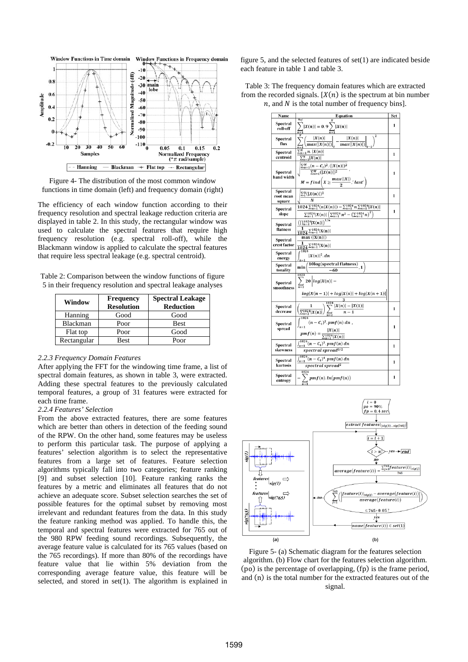

Figure 4- The distribution of the most common window functions in time domain (left) and frequency domain (right)

The efficiency of each window function according to their frequency resolution and spectral leakage reduction criteria are displayed in table 2. In this study, the rectangular window was used to calculate the spectral features that require high frequency resolution (e.g. spectral roll-off), while the Blackmann window is applied to calculate the spectral features that require less spectral leakage (e.g. spectral centroid).

Table 2: Comparison between the window functions of figure 5 in their frequency resolution and spectral leakage analyses

| Window      | <b>Frequency</b><br><b>Resolution</b> | <b>Spectral Leakage</b><br><b>Reduction</b> |  |
|-------------|---------------------------------------|---------------------------------------------|--|
| Hanning     | Good                                  | Good                                        |  |
| Blackman    | Poor                                  | <b>Best</b>                                 |  |
| Flat top    | Poor                                  | Good                                        |  |
| Rectangular | <b>Best</b>                           | Poor                                        |  |

## *2.2.3 Frequency Domain Features*

After applying the FFT for the windowing time frame, a list of spectral domain features, as shown in table 3, were extracted. Adding these spectral features to the previously calculated temporal features, a group of 31 features were extracted for each time frame.

## *2.2.4 Features' Selection*

From the above extracted features, there are some features which are better than others in detection of the feeding sound of the RPW. On the other hand, some features may be useless to perform this particular task. The purpose of applying a features' selection algorithm is to select the representative features from a large set of features. Feature selection algorithms typically fall into two categories; feature ranking [9] and subset selection [10]. Feature ranking ranks the features by a metric and eliminates all features that do not achieve an adequate score. Subset selection searches the set of possible features for the optimal subset by removing most irrelevant and redundant features from the data. In this study the feature ranking method was applied. To handle this, the temporal and spectral features were extracted for 765 out of the 980 RPW feeding sound recordings. Subsequently, the average feature value is calculated for its 765 values (based on the 765 recordings). If more than 80% of the recordings have feature value that lie within 5% deviation from the corresponding average feature value, this feature will be selected, and stored in set(1). The algorithm is explained in figure 5, and the selected features of set(1) are indicated beside each feature in table 1 and table 3.

Table 3: The frequency domain features which are extracted from the recorded signals.  $[X(n)]$  is the spectrum at bin number  $n$ , and  $N$  is the total number of frequency bins].





Figure 5- (a) Schematic diagram for the features selection algorithm. (b) Flow chart for the features selection algorithm.  $(po)$  is the percentage of overlapping,  $(p)$  is the frame period, and (n) is the total number for the extracted features out of the signal.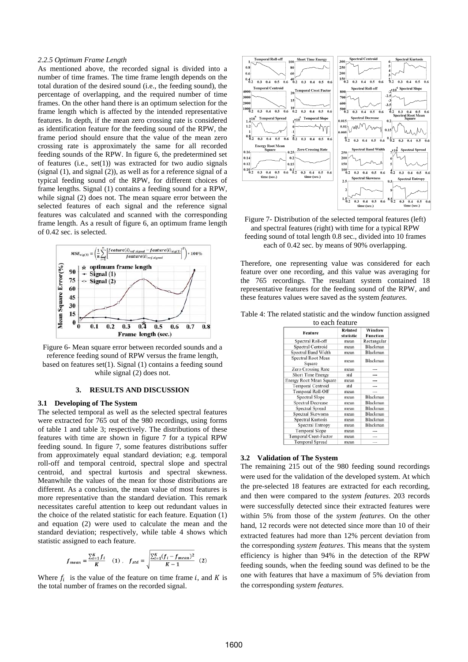#### *2.2.5 Optimum Frame Length*

As mentioned above, the recorded signal is divided into a number of time frames. The time frame length depends on the total duration of the desired sound (i.e., the feeding sound), the percentage of overlapping, and the required number of time frames. On the other hand there is an optimum selection for the frame length which is affected by the intended representative features. In depth, if the mean zero crossing rate is considered as identification feature for the feeding sound of the RPW, the frame period should ensure that the value of the mean zero crossing rate is approximately the same for all recorded feeding sounds of the RPW. In figure 6, the predetermined set of features (i.e., set(1)) was extracted for two audio signals (signal (1), and signal (2)), as well as for a reference signal of a typical feeding sound of the RPW, for different choices of frame lengths. Signal (1) contains a feeding sound for a RPW, while signal (2) does not. The mean square error between the selected features of each signal and the reference signal features was calculated and scanned with the corresponding frame length. As a result of figure 6, an optimum frame length of 0.42 sec. is selected.



Figure 6- Mean square error between recorded sounds and a reference feeding sound of RPW versus the frame length, based on features set(1). Signal (1) contains a feeding sound while signal (2) does not.

#### **3. RESULTS AND DISCUSSION**

#### **3.1 Developing of The System**

The selected temporal as well as the selected spectral features were extracted for 765 out of the 980 recordings, using forms of table 1 and table 3; respectively. The distributions of these features with time are shown in figure 7 for a typical RPW feeding sound. In figure 7, some features distributions suffer from approximately equal standard deviation; e.g. temporal roll-off and temporal centroid, spectral slope and spectral centroid, and spectral kurtosis and spectral skewness. Meanwhile the values of the mean for those distributions are different. As a conclusion, the mean value of most features is more representative than the standard deviation. This remark necessitates careful attention to keep out redundant values in the choice of the related statistic for each feature. Equation (1) and equation (2) were used to calculate the mean and the standard deviation; respectively, while table 4 shows which statistic assigned to each feature.

$$
f_{mean} = \frac{\sum_{i=1}^{K} f_i}{K} \quad (1) \quad f_{std} = \sqrt{\frac{\sum_{i=1}^{K} (f_i - f_{mean})^2}{K - 1}} \quad (2)
$$

Where  $f_i$  is the value of the feature on time frame i, and K is the total number of frames on the recorded signal.



Figure 7- Distribution of the selected temporal features (left) and spectral features (right) with time for a typical RPW feeding sound of total length 0.8 sec., divided into 10 frames each of 0.42 sec. by means of 90% overlapping.

Therefore, one representing value was considered for each feature over one recording, and this value was averaging for the 765 recordings. The resultant system contained 18 representative features for the feeding sound of the RPW, and these features values were saved as the system *features*.

Table 4: The related statistic and the window function assigned

| to each feature              |                             |                           |  |  |
|------------------------------|-----------------------------|---------------------------|--|--|
| Feature                      | <b>Related</b><br>statistic | Window<br><b>Function</b> |  |  |
| Spectral Roll-off            | mean                        | Rectangular               |  |  |
| Spectral Centroid            | mean                        | Blackman                  |  |  |
| Spectral Band Width          | mean                        | Blackman                  |  |  |
| Spectral Root Mean<br>Square | mean                        | Blackman                  |  |  |
| Zero Crossing Rate           | mean                        |                           |  |  |
| Short Time Energy            | std                         |                           |  |  |
| Energy Root Mean Square      | mean                        | ---                       |  |  |
| <b>Temporal Centroid</b>     | std                         |                           |  |  |
| Temporal Roll-Off            | mean                        | ---                       |  |  |
| <b>Spectral Slope</b>        | mean                        | Blackman                  |  |  |
| <b>Spectral Decrease</b>     | mean                        | Blackman                  |  |  |
| Spectral Spread              | mean                        | <b>Blackman</b>           |  |  |
| Spectral Skewness            | mean                        | Blackman                  |  |  |
| Spectral Kurtosis            | mean                        | Blackman                  |  |  |
| Spectral Entropy             | mean                        | Blackman                  |  |  |
| <b>Temporal Slope</b>        | mean                        |                           |  |  |
| Temporal Crest-Factor        | mean                        |                           |  |  |
| <b>Temporal Spread</b>       | mean                        | ---                       |  |  |

#### **3.2 Validation of The System**

The remaining 215 out of the 980 feeding sound recordings were used for the validation of the developed system. At which the pre-selected 18 features are extracted for each recording, and then were compared to the *system features*. 203 records were successfully detected since their extracted features were within 5% from those of the *system features*. On the other hand, 12 records were not detected since more than 10 of their extracted features had more than 12% percent deviation from the corresponding *system features*. This means that the system efficiency is higher than 94% in the detection of the RPW feeding sounds, when the feeding sound was defined to be the one with features that have a maximum of 5% deviation from the corresponding *system features*.